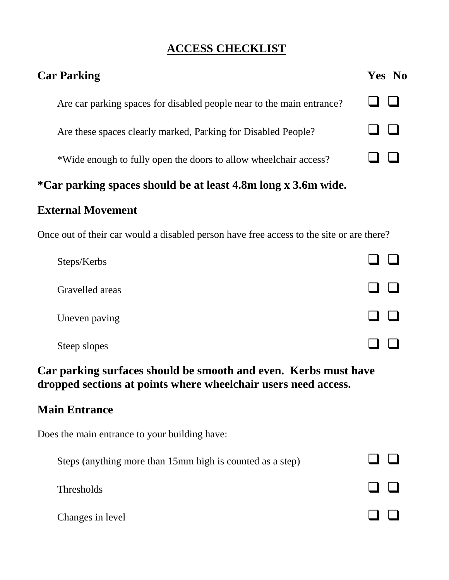# **ACCESS CHECKLIST**

| <b>Car Parking</b>                                                    | Yes No |
|-----------------------------------------------------------------------|--------|
| Are car parking spaces for disabled people near to the main entrance? |        |
| Are these spaces clearly marked, Parking for Disabled People?         |        |
| *Wide enough to fully open the doors to allow wheelchair access?      |        |
|                                                                       |        |

# **\*Car parking spaces should be at least 4.8m long x 3.6m wide.**

## **External Movement**

Once out of their car would a disabled person have free access to the site or are there?

| Steps/Kerbs     |  |
|-----------------|--|
| Gravelled areas |  |
| Uneven paving   |  |
| Steep slopes    |  |

## **Car parking surfaces should be smooth and even. Kerbs must have dropped sections at points where wheelchair users need access.**

#### **Main Entrance**

Does the main entrance to your building have:

| Steps (anything more than 15mm high is counted as a step) |              |
|-----------------------------------------------------------|--------------|
| <b>Thresholds</b>                                         | $\mathbf{1}$ |
| Changes in level                                          | $\mathbf{L}$ |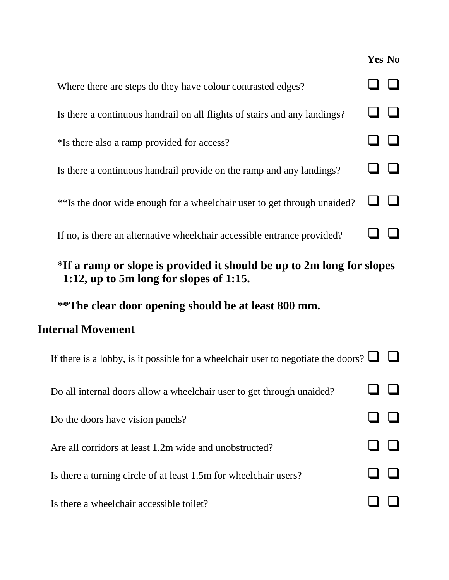|                                                                           | Yes No |
|---------------------------------------------------------------------------|--------|
| Where there are steps do they have colour contrasted edges?               |        |
| Is there a continuous handrail on all flights of stairs and any landings? |        |
| *Is there also a ramp provided for access?                                |        |
| Is there a continuous handrail provide on the ramp and any landings?      |        |
| **Is the door wide enough for a wheelchair user to get through unaided?   |        |
| If no, is there an alternative wheelchair accessible entrance provided?   |        |

# **\*If a ramp or slope is provided it should be up to 2m long for slopes 1:12, up to 5m long for slopes of 1:15.**

# **\*\*The clear door opening should be at least 800 mm.**

### **Internal Movement**

| If there is a lobby, is it possible for a wheelchair user to negotiate the doors? $\Box$ |  |
|------------------------------------------------------------------------------------------|--|
| Do all internal doors allow a wheelchair user to get through unaided?                    |  |
| Do the doors have vision panels?                                                         |  |
| Are all corridors at least 1.2m wide and unobstructed?                                   |  |
| Is there a turning circle of at least 1.5m for wheelchair users?                         |  |
| Is there a wheelchair accessible toilet?                                                 |  |